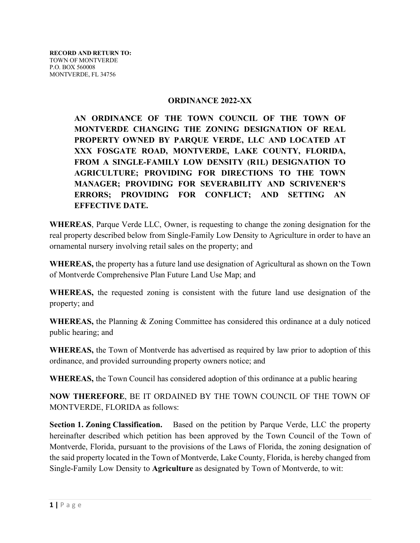## **ORDINANCE 2022-XX**

**AN ORDINANCE OF THE TOWN COUNCIL OF THE TOWN OF MONTVERDE CHANGING THE ZONING DESIGNATION OF REAL PROPERTY OWNED BY PARQUE VERDE, LLC AND LOCATED AT XXX FOSGATE ROAD, MONTVERDE, LAKE COUNTY, FLORIDA, FROM A SINGLE-FAMILY LOW DENSITY (R1L) DESIGNATION TO AGRICULTURE; PROVIDING FOR DIRECTIONS TO THE TOWN MANAGER; PROVIDING FOR SEVERABILITY AND SCRIVENER'S ERRORS; PROVIDING FOR CONFLICT; AND SETTING AN EFFECTIVE DATE.**

**WHEREAS**, Parque Verde LLC, Owner, is requesting to change the zoning designation for the real property described below from Single-Family Low Density to Agriculture in order to have an ornamental nursery involving retail sales on the property; and

**WHEREAS,** the property has a future land use designation of Agricultural as shown on the Town of Montverde Comprehensive Plan Future Land Use Map; and

**WHEREAS,** the requested zoning is consistent with the future land use designation of the property; and

**WHEREAS,** the Planning & Zoning Committee has considered this ordinance at a duly noticed public hearing; and

**WHEREAS,** the Town of Montverde has advertised as required by law prior to adoption of this ordinance, and provided surrounding property owners notice; and

**WHEREAS,** the Town Council has considered adoption of this ordinance at a public hearing

**NOW THEREFORE**, BE IT ORDAINED BY THE TOWN COUNCIL OF THE TOWN OF MONTVERDE, FLORIDA as follows:

**Section 1. Zoning Classification.** Based on the petition by Parque Verde, LLC the property hereinafter described which petition has been approved by the Town Council of the Town of Montverde, Florida, pursuant to the provisions of the Laws of Florida, the zoning designation of the said property located in the Town of Montverde, Lake County, Florida, is hereby changed from Single-Family Low Density to **Agriculture** as designated by Town of Montverde, to wit: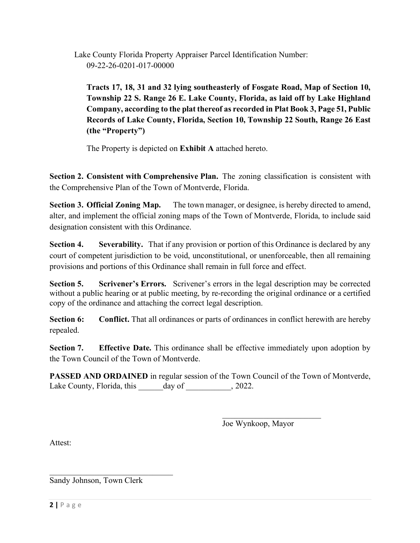Lake County Florida Property Appraiser Parcel Identification Number: 09-22-26-0201-017-00000

**Tracts 17, 18, 31 and 32 lying southeasterly of Fosgate Road, Map of Section 10, Township 22 S. Range 26 E. Lake County, Florida, as laid off by Lake Highland Company, according to the plat thereof as recorded in Plat Book 3, Page 51, Public Records of Lake County, Florida, Section 10, Township 22 South, Range 26 East (the "Property")**

The Property is depicted on **Exhibit A** attached hereto.

**Section 2. Consistent with Comprehensive Plan.** The zoning classification is consistent with the Comprehensive Plan of the Town of Montverde, Florida.

**Section 3. Official Zoning Map.** The town manager, or designee, is hereby directed to amend, alter, and implement the official zoning maps of the Town of Montverde, Florida, to include said designation consistent with this Ordinance.

**Section 4.** Severability. That if any provision or portion of this Ordinance is declared by any court of competent jurisdiction to be void, unconstitutional, or unenforceable, then all remaining provisions and portions of this Ordinance shall remain in full force and effect.

**Section 5. Scrivener's Errors.** Scrivener's errors in the legal description may be corrected without a public hearing or at public meeting, by re-recording the original ordinance or a certified copy of the ordinance and attaching the correct legal description.

**Section 6:** Conflict. That all ordinances or parts of ordinances in conflict herewith are hereby repealed.

**Section 7. Effective Date.** This ordinance shall be effective immediately upon adoption by the Town Council of the Town of Montverde.

**PASSED AND ORDAINED** in regular session of the Town Council of the Town of Montverde, Lake County, Florida, this \_\_\_\_\_\_\_ day of \_\_\_\_\_\_\_\_\_, 2022.

Joe Wynkoop, Mayor

\_\_\_\_\_\_\_\_\_\_\_\_\_\_\_\_\_\_\_\_\_\_\_\_

Attest:

Sandy Johnson, Town Clerk

 $\mathcal{L}_\text{max}$  , and the set of the set of the set of the set of the set of the set of the set of the set of the set of the set of the set of the set of the set of the set of the set of the set of the set of the set of the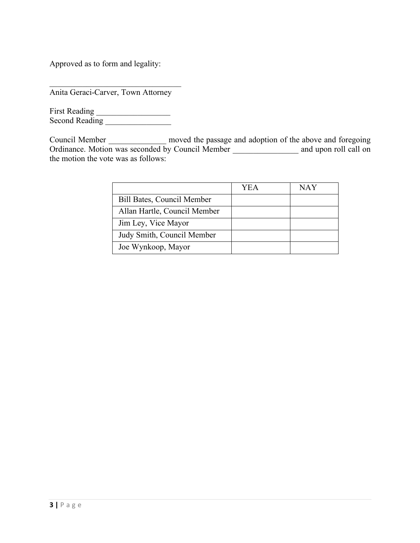Approved as to form and legality:

 $\mathcal{L}=\{1,2,3,4,5\}$ Anita Geraci-Carver, Town Attorney

First Reading \_\_\_\_\_\_\_\_\_\_\_\_\_\_\_\_\_\_ Second Reading \_\_\_\_\_\_\_\_\_\_\_\_\_\_\_\_

Council Member \_\_\_\_\_\_\_\_\_\_\_\_\_\_ moved the passage and adoption of the above and foregoing Ordinance. Motion was seconded by Council Member and upon roll call on the motion the vote was as follows:

|                              | YEA | NAY |
|------------------------------|-----|-----|
| Bill Bates, Council Member   |     |     |
| Allan Hartle, Council Member |     |     |
| Jim Ley, Vice Mayor          |     |     |
| Judy Smith, Council Member   |     |     |
| Joe Wynkoop, Mayor           |     |     |